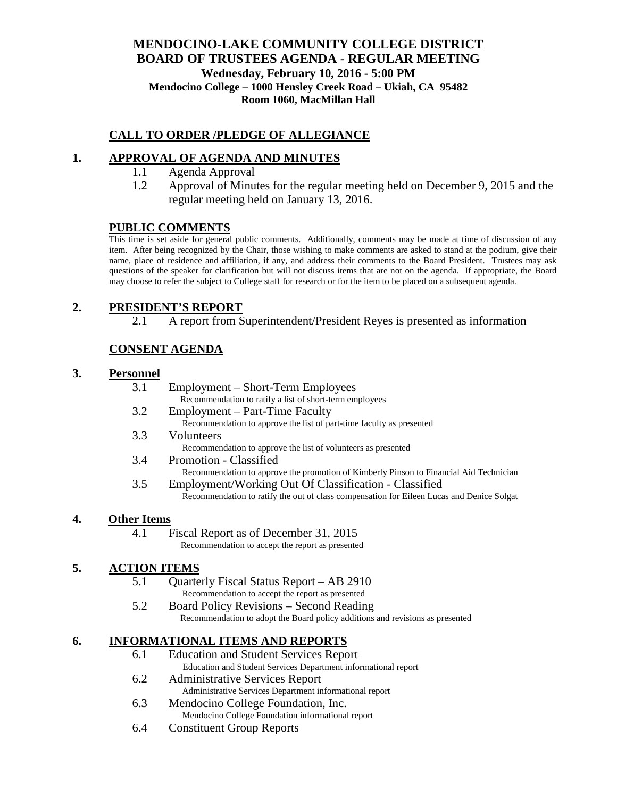## **MENDOCINO-LAKE COMMUNITY COLLEGE DISTRICT BOARD OF TRUSTEES AGENDA** - **REGULAR MEETING Wednesday, February 10, 2016 - 5:00 PM Mendocino College – 1000 Hensley Creek Road – Ukiah, CA 95482 Room 1060, MacMillan Hall**

## **CALL TO ORDER /PLEDGE OF ALLEGIANCE**

# **1. APPROVAL OF AGENDA AND MINUTES**

- 1.1 Agenda Approval
- 1.2 Approval of Minutes for the regular meeting held on December 9, 2015 and the regular meeting held on January 13, 2016.

## **PUBLIC COMMENTS**

This time is set aside for general public comments. Additionally, comments may be made at time of discussion of any item. After being recognized by the Chair, those wishing to make comments are asked to stand at the podium, give their name, place of residence and affiliation, if any, and address their comments to the Board President. Trustees may ask questions of the speaker for clarification but will not discuss items that are not on the agenda. If appropriate, the Board may choose to refer the subject to College staff for research or for the item to be placed on a subsequent agenda.

# **2. PRESIDENT'S REPORT**

2.1 A report from Superintendent/President Reyes is presented as information

# **CONSENT AGENDA**

#### **3. Personnel**

- 3.1 Employment Short-Term Employees
- Recommendation to ratify a list of short-term employees 3.2 Employment – Part-Time Faculty
	- Recommendation to approve the list of part-time faculty as presented
- 3.3 Volunteers
	- Recommendation to approve the list of volunteers as presented
- 3.4 Promotion Classified
	- Recommendation to approve the promotion of Kimberly Pinson to Financial Aid Technician
- 3.5 Employment/Working Out Of Classification Classified Recommendation to ratify the out of class compensation for Eileen Lucas and Denice Solgat

#### **4. Other Items**

4.1 Fiscal Report as of December 31, 2015 Recommendation to accept the report as presented

#### **5. ACTION ITEMS**

- 5.1 Quarterly Fiscal Status Report AB 2910 Recommendation to accept the report as presented
- 5.2 Board Policy Revisions Second Reading

Recommendation to adopt the Board policy additions and revisions as presented

## **6. INFORMATIONAL ITEMS AND REPORTS**

- 6.1 Education and Student Services Report Education and Student Services Department informational report
- 6.2 Administrative Services Report Administrative Services Department informational report
- 6.3 Mendocino College Foundation, Inc. Mendocino College Foundation informational report
- 6.4 Constituent Group Reports